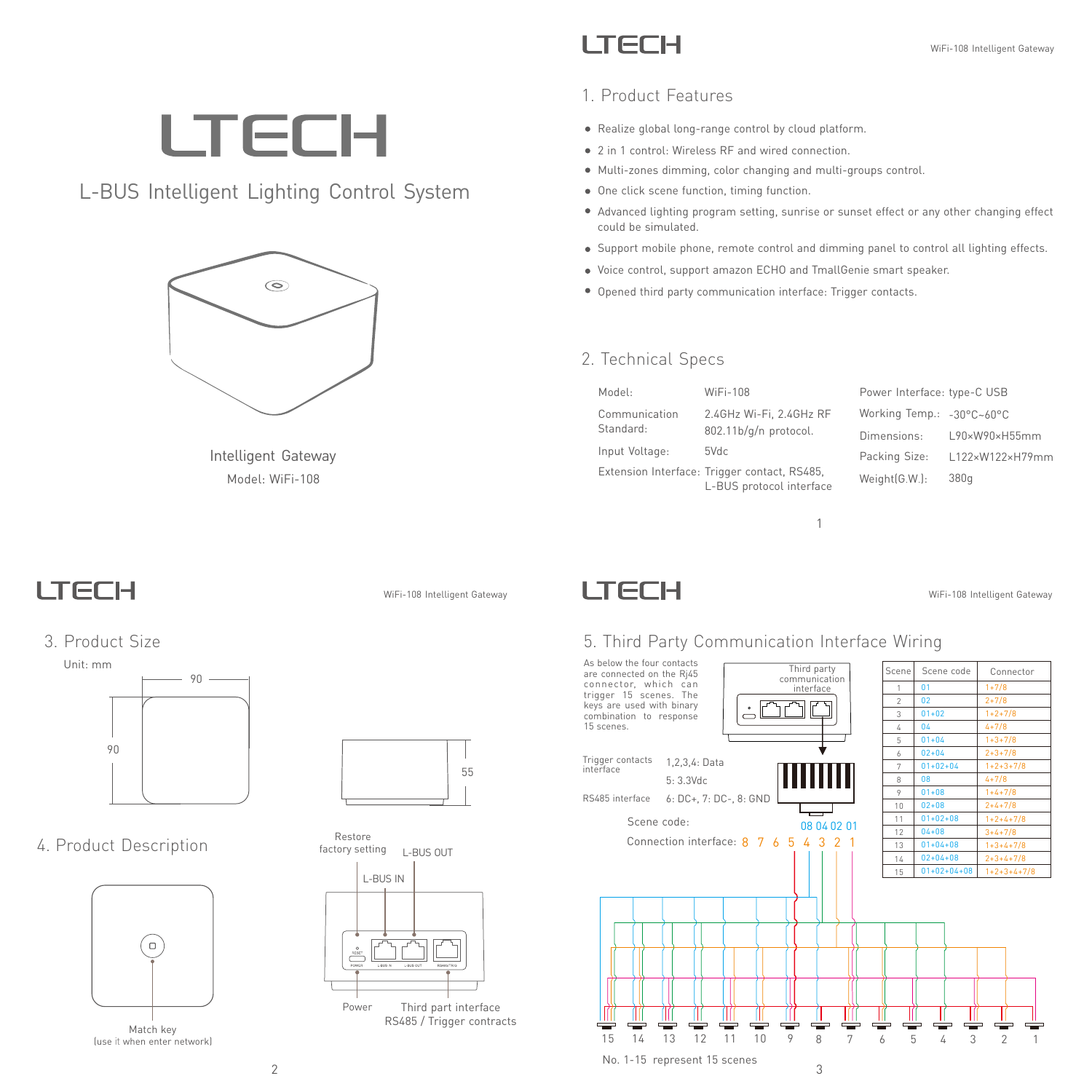WiFi-108 Intelligent Gateway

### **LTECH**

### 1. Product Features

- Realize global long-range control by cloud platform.
- 2 in 1 control: Wireless RF and wired connection.
- Multi-zones dimming, color changing and multi-groups control.
- One click scene function, timing function.
- Advanced lighting program setting, sunrise or sunset effect or any other changing effect could be simulated.
- Support mobile phone, remote control and dimming panel to control all lighting effects.
- Voice control, support amazon ECHO and TmallGenie smart speaker.
- Opened third party communication interface: Trigger contacts.

#### 2. Technical Specs

| Model:         | WiFi-108                                                                 | Power Interface: type-C USB |                 |
|----------------|--------------------------------------------------------------------------|-----------------------------|-----------------|
| Communication  | 2.4GHz Wi-Fi, 2.4GHz RF                                                  | Working Temp.: -30°C~60°C   |                 |
| Standard:      | 802.11b/g/n protocol.                                                    | Dimensions:                 | L90×W90×H55mm   |
| Input Voltage: | 5Vdc                                                                     | Packing Size:               | L122×W122×H79mm |
|                | Extension Interface: Trigger contact, RS485,<br>L-BUS protocol interface | Weight(G.W.):               | 380q            |

1

# **LTECH**

L-BUS Intelligent Lighting Control System



Model: WiFi-108 Intelligent Gateway

### **LTECH**

WiFi-108 Intelligent Gateway

### 3. Product Size

4. Product Description





Restore factory setting L-BUS OUT





### 5. Third Party Communication Interface Wiring



#### (use it when enter network) Match key

 $\Box$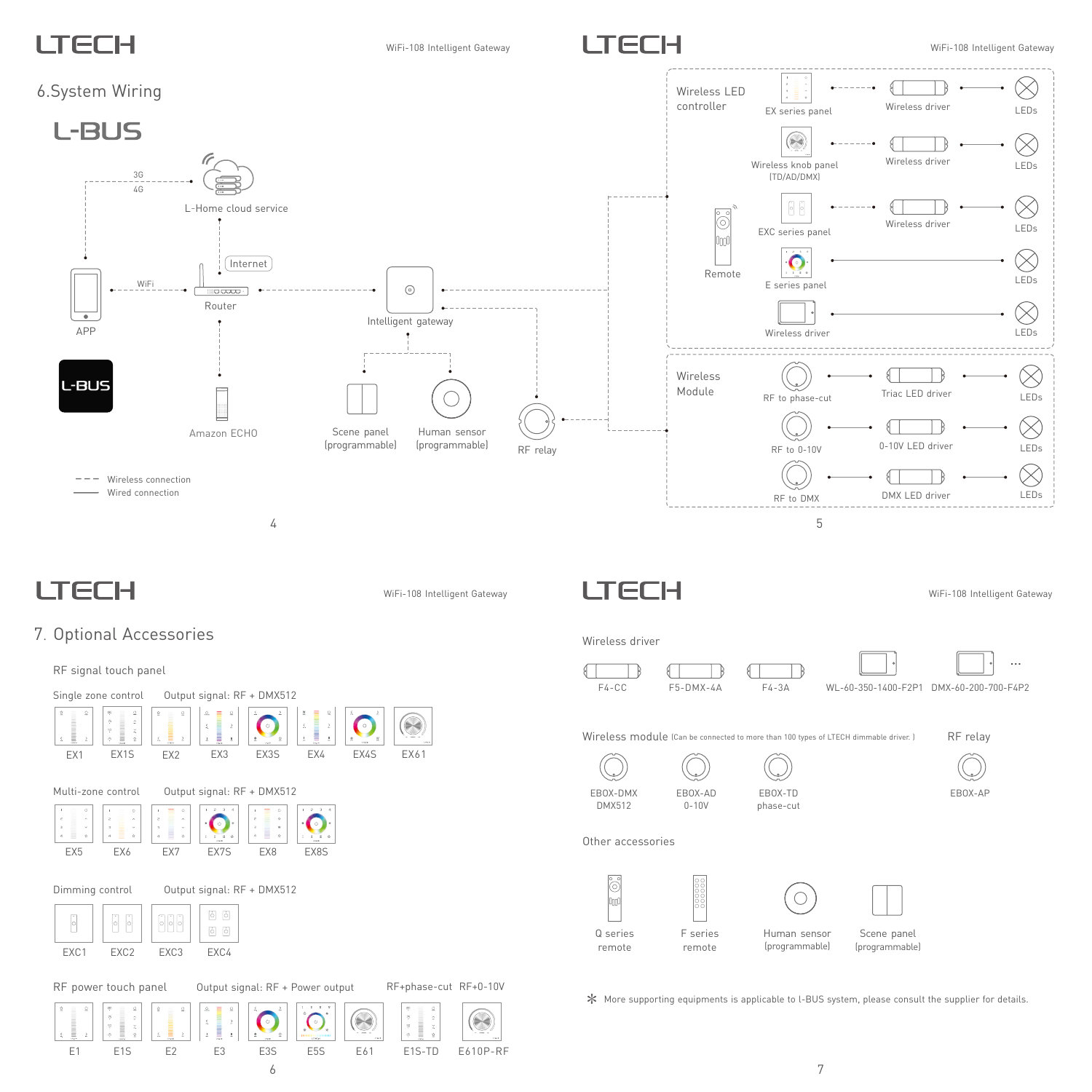# I TECH

WiFi-108 Intelligent Gateway

6

E1 E1S E2 E3 E3S E5S E61 E1S-TD E610P-RF



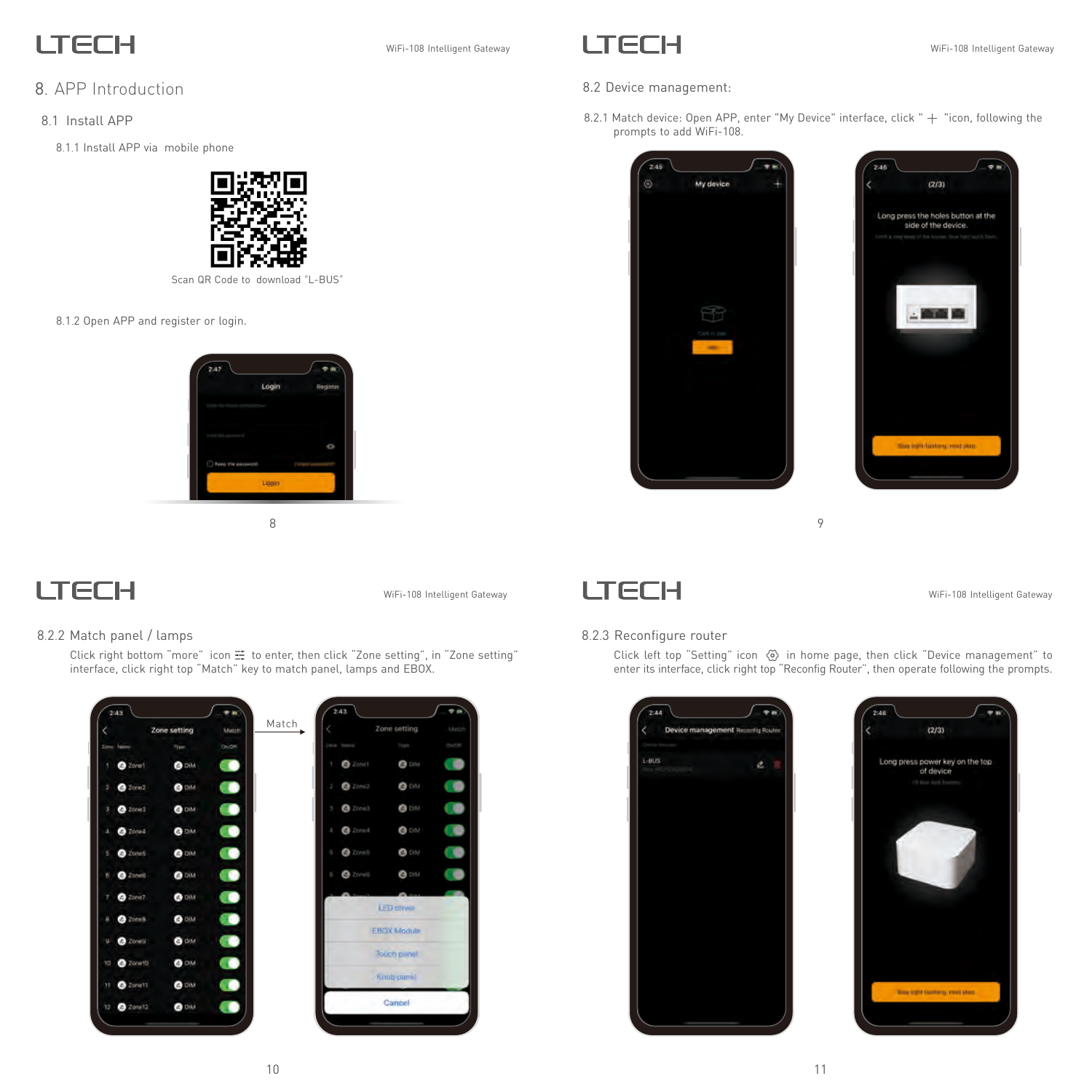## **LTECH**

### 8. APP Introduction

- 8.1 Install APP
	- 8.1.1 Install APP via mobile phone



Scan QR Code to download "L-BUS"

8.1.2 Open APP and register or login.



### **LTECH**

WiFi-108 Intelligent Gateway

#### 8.2.2 Match panel / lamps

Click right bottom "more" icon  $\Xi$  to enter, then click "Zone setting", in "Zone setting" interface, click right top "Match" key to match panel, lamps and EBOX.



### WiFi-108 Intelligent Gateway **LECH** CHEC IN WIFi-108 Intelligent Gateway

- 8.2 Device management:
- 8.2.1 Match device: Open APP, enter "My Device" interface, click " + "icon, following the prompts to add WiFi-108.





8 9



#### WiFi-108 Intelligent Gateway

#### 8.2.3 Reconfigure router

Click left top "Setting" icon in home page, then click "Device management" to enter its interface, click right top "Reconfig Router", then operate following the prompts.